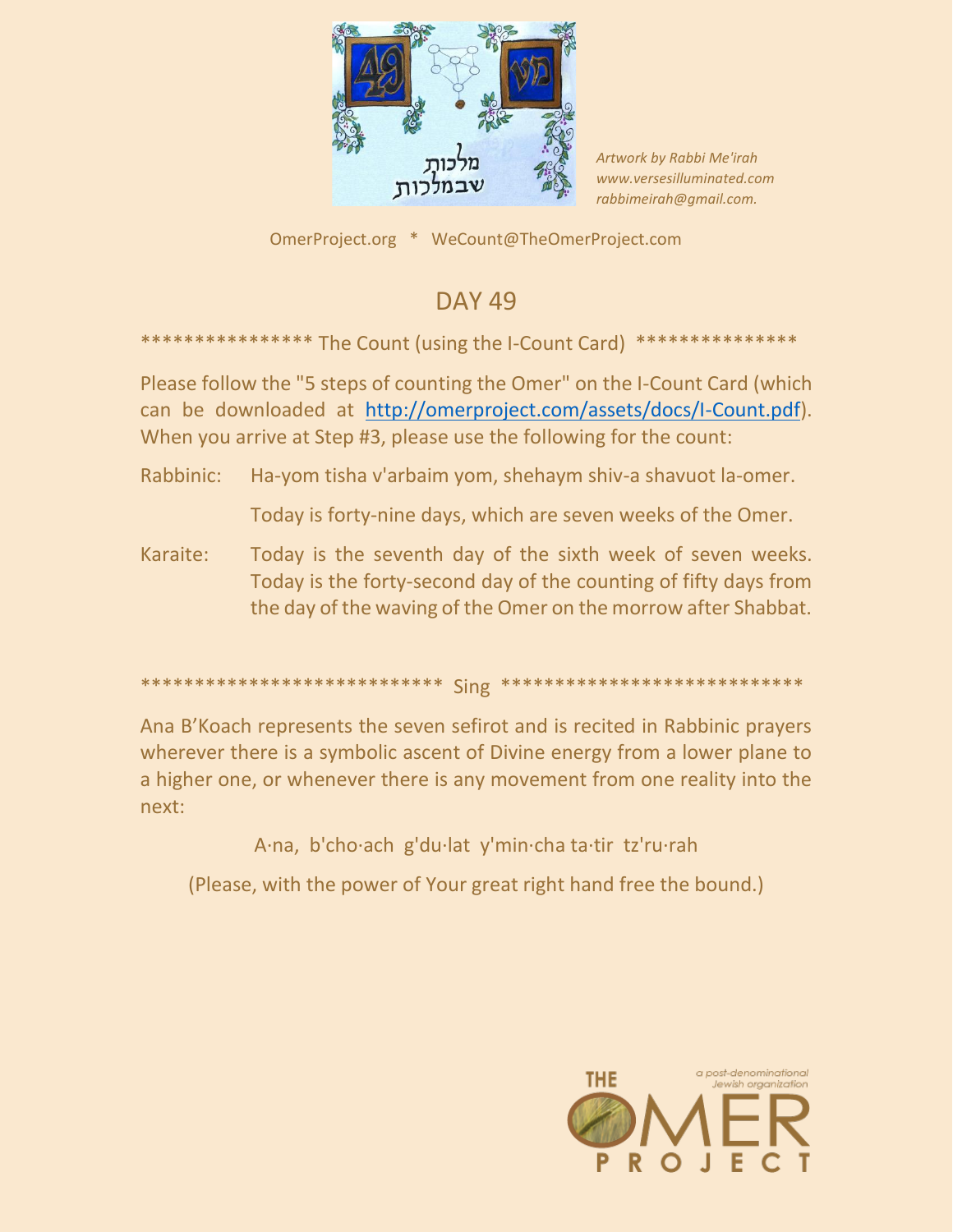

Artwork by Rabbi Me'irah www.versesilluminated.com rabbimeirah@qmail.com.

OmerProject.org \* WeCount@TheOmerProject.com

## **DAY 49**

The Count (using the I-Count Card)

Please follow the "5 steps of counting the Omer" on the I-Count Card (which can be downloaded at http://omerproject.com/assets/docs/I-Count.pdf). When you arrive at Step #3, please use the following for the count:

Rabbinic: Ha-yom tisha v'arbaim yom, shehaym shiv-a shavuot la-omer.

Today is forty-nine days, which are seven weeks of the Omer.

Karaite: Today is the seventh day of the sixth week of seven weeks. Today is the forty-second day of the counting of fifty days from the day of the waving of the Omer on the morrow after Shabbat.

## 

Ana B'Koach represents the seven sefirot and is recited in Rabbinic prayers wherever there is a symbolic ascent of Divine energy from a lower plane to a higher one, or whenever there is any movement from one reality into the next:

A·na, b'cho·ach g'du·lat y'min·cha ta·tir tz'ru·rah

(Please, with the power of Your great right hand free the bound.)

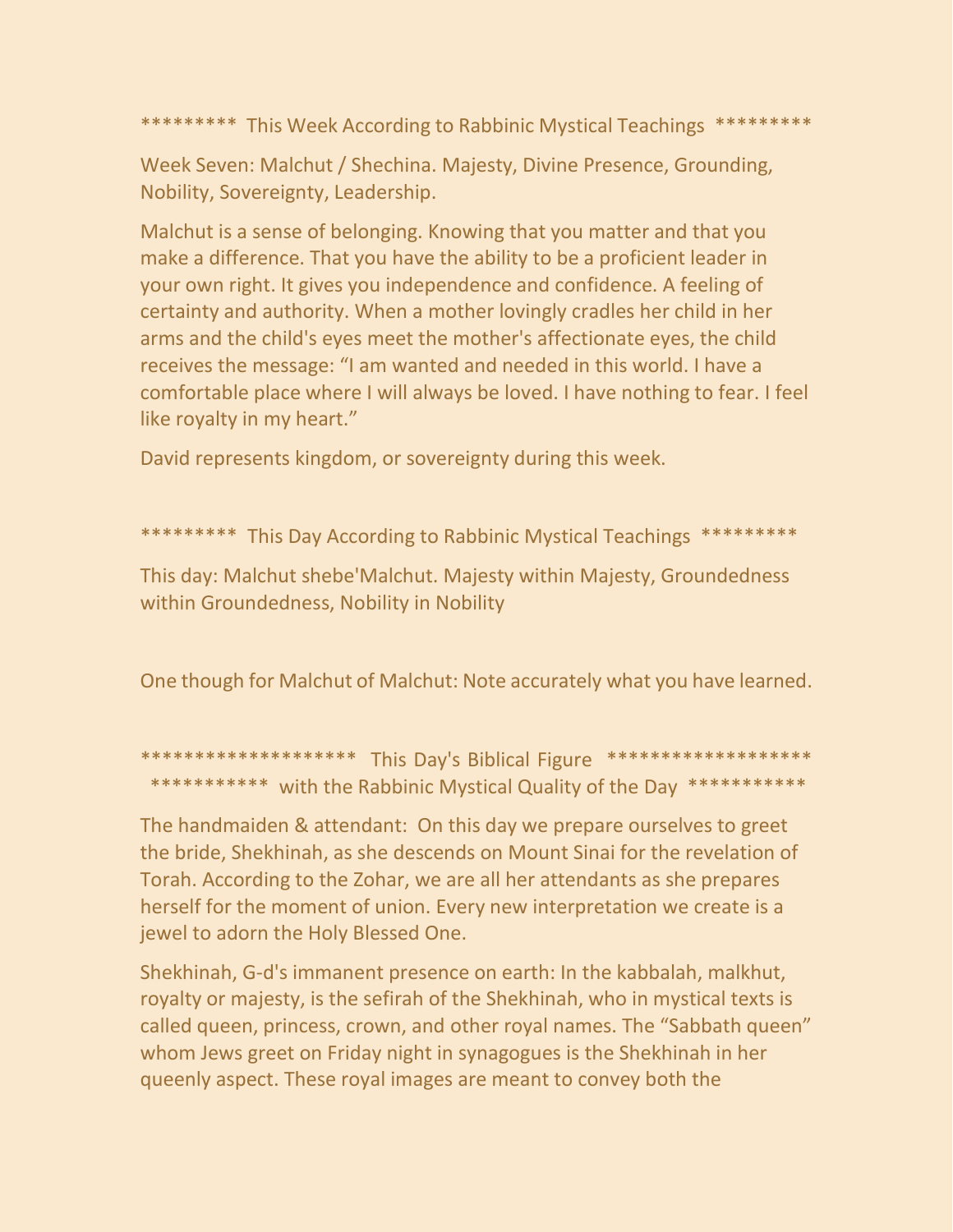\*\*\*\*\*\*\*\*\* This Week According to Rabbinic Mystical Teachings \*\*\*\*\*\*\*\*\*

Week Seven: Malchut / Shechina. Majesty, Divine Presence, Grounding, Nobility, Sovereignty, Leadership.

Malchut is a sense of belonging. Knowing that you matter and that you make a difference. That you have the ability to be a proficient leader in your own right. It gives you independence and confidence. A feeling of certainty and authority. When a mother lovingly cradles her child in her arms and the child's eyes meet the mother's affectionate eyes, the child receives the message: "I am wanted and needed in this world. I have a comfortable place where I will always be loved. I have nothing to fear. I feel like royalty in my heart."

David represents kingdom, or sovereignty during this week.

\*\*\*\*\*\*\*\*\* This Day According to Rabbinic Mystical Teachings \*\*\*\*\*\*\*\*\*

This day: Malchut shebe'Malchut. Majesty within Majesty, Groundedness within Groundedness, Nobility in Nobility

One though for Malchut of Malchut: Note accurately what you have learned.

\*\*\*\*\*\*\*\*\*\*\*\*\*\*\*\*\*\*\*\* This Day's Biblical Figure \*\*\*\*\*\*\*\*\*\*\*\*\*\*\*\*\*\*\*\* \*\*\*\*\*\*\*\*\*\*\* with the Rabbinic Mystical Quality of the Day \*\*\*\*\*\*\*\*\*\*\*

The handmaiden & attendant: On this day we prepare ourselves to greet the bride, Shekhinah, as she descends on Mount Sinai for the revelation of Torah. According to the Zohar, we are all her attendants as she prepares herself for the moment of union. Every new interpretation we create is a jewel to adorn the Holy Blessed One.

Shekhinah, G-d's immanent presence on earth: In the kabbalah, malkhut, royalty or majesty, is the sefirah of the Shekhinah, who in mystical texts is called queen, princess, crown, and other royal names. The "Sabbath queen" whom Jews greet on Friday night in synagogues is the Shekhinah in her queenly aspect. These royal images are meant to convey both the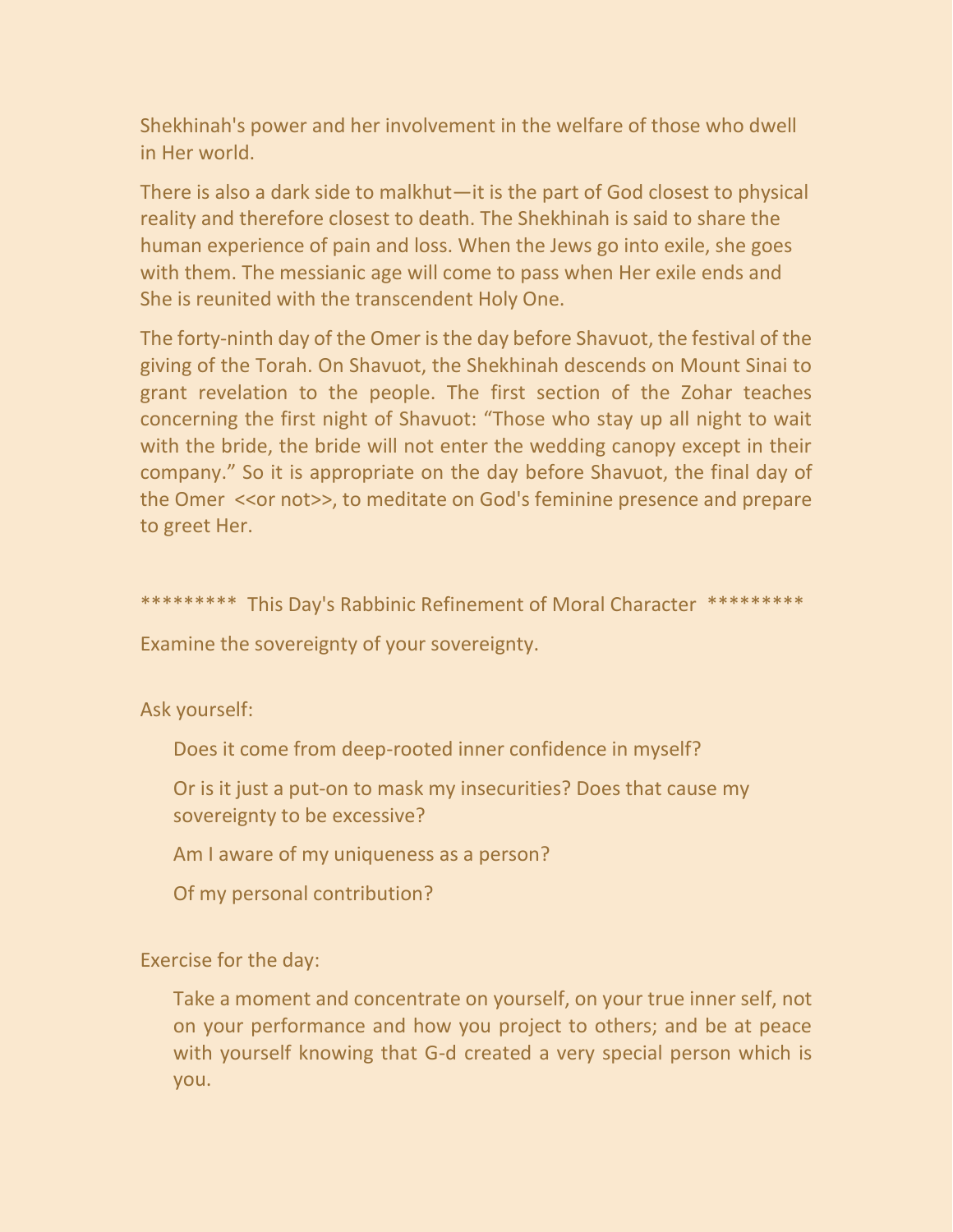Shekhinah's power and her involvement in the welfare of those who dwell in Her world.

There is also a dark side to malkhut—it is the part of God closest to physical reality and therefore closest to death. The Shekhinah is said to share the human experience of pain and loss. When the Jews go into exile, she goes with them. The messianic age will come to pass when Her exile ends and She is reunited with the transcendent Holy One.

The forty-ninth day of the Omer is the day before Shavuot, the festival of the giving of the Torah. On Shavuot, the Shekhinah descends on Mount Sinai to grant revelation to the people. The first section of the Zohar teaches concerning the first night of Shavuot: "Those who stay up all night to wait with the bride, the bride will not enter the wedding canopy except in their company." So it is appropriate on the day before Shavuot, the final day of the Omer <<or not>>, to meditate on God's feminine presence and prepare to greet Her.

\*\*\*\*\*\*\*\*\* This Day's Rabbinic Refinement of Moral Character \*\*\*\*\*\*\*\*\*

Examine the sovereignty of your sovereignty.

Ask yourself:

Does it come from deep-rooted inner confidence in myself?

Or is it just a put-on to mask my insecurities? Does that cause my sovereignty to be excessive?

Am I aware of my uniqueness as a person?

Of my personal contribution?

Exercise for the day:

Take a moment and concentrate on yourself, on your true inner self, not on your performance and how you project to others; and be at peace with yourself knowing that G-d created a very special person which is you.